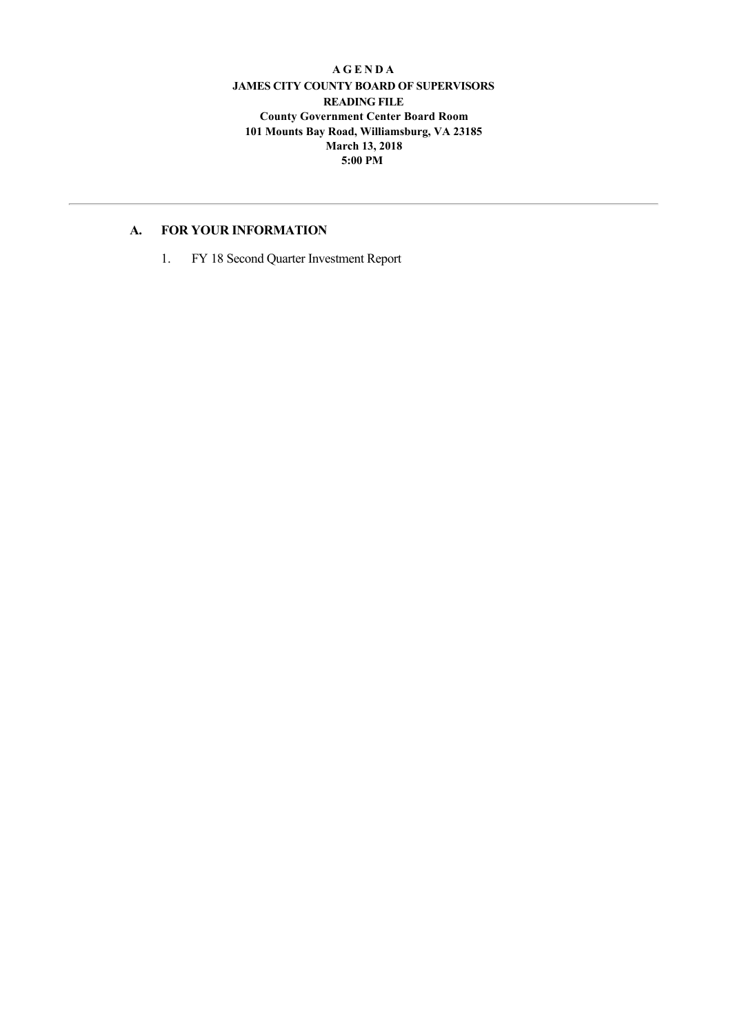#### **A G E N D A JAMES CITY COUNTY BOARD OF SUPERVISORS READING FILE County Government Center Board Room 101 Mounts Bay Road, Williamsburg, VA 23185 March 13, 2018 5:00 PM**

## **A. FOR YOUR INFORMATION**

1. FY 18 Second Quarter Investment Report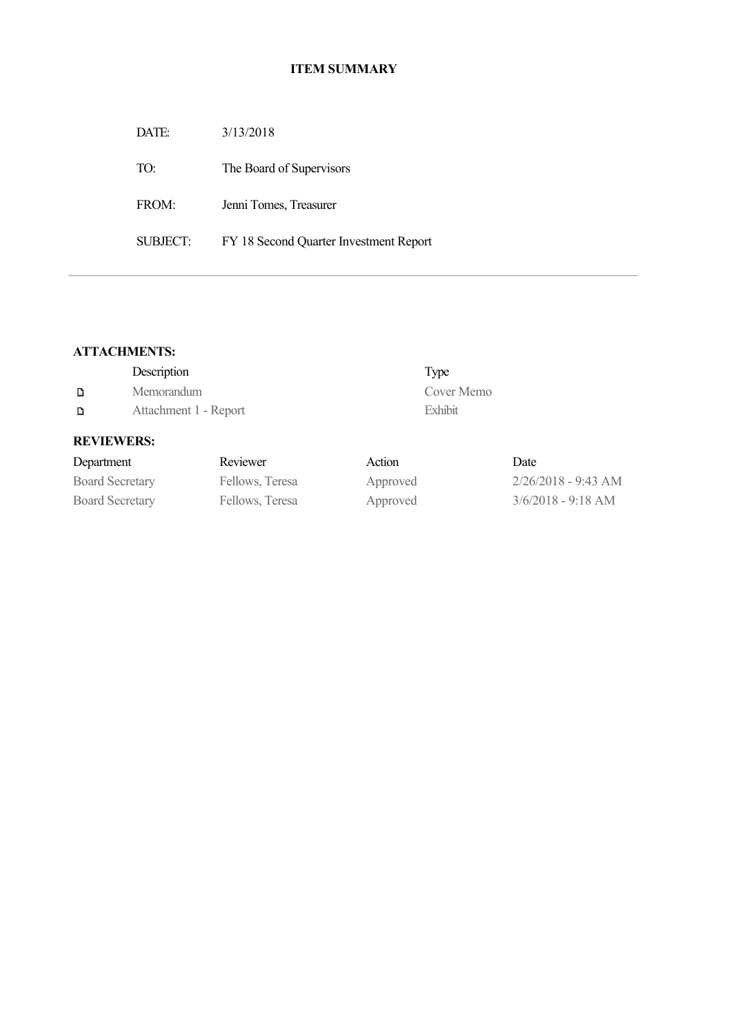## **ITEM SUMMARY**

DATE: 3/13/2018

TO: The Board of Supervisors

FROM: Jenni Tomes, Treasurer

SUBJECT: FY 18 Second Quarter Investment Report

# **ATTACHMENTS:**

|   | Description           | Type       |
|---|-----------------------|------------|
| D | Memorandum            | Cover Memo |
| D | Attachment 1 - Report | Exhibit    |

## **REVIEWERS:**

| Department             | Reviewer        | Action   | Date                  |
|------------------------|-----------------|----------|-----------------------|
| <b>Board Secretary</b> | Fellows, Teresa | Approved | $2/26/2018 - 9:43$ AM |
| <b>Board Secretary</b> | Fellows, Teresa | Approved | $3/6/2018 - 9:18$ AM  |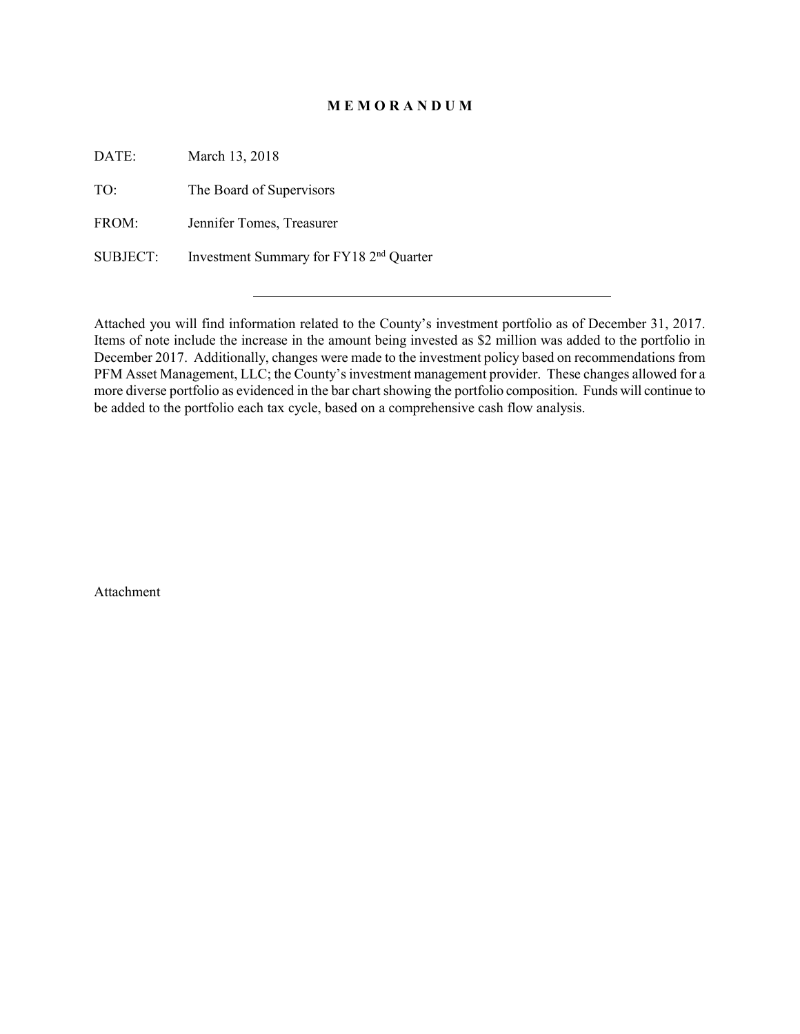#### **M E M O R A N D U M**

DATE: March 13, 2018

TO: The Board of Supervisors

FROM: Jennifer Tomes, Treasurer

SUBJECT: Investment Summary for FY18 2nd Quarter

Attached you will find information related to the County's investment portfolio as of December 31, 2017. Items of note include the increase in the amount being invested as \$2 million was added to the portfolio in December 2017. Additionally, changes were made to the investment policy based on recommendations from PFM Asset Management, LLC; the County's investment management provider. These changes allowed for a more diverse portfolio as evidenced in the bar chart showing the portfolio composition. Funds will continue to be added to the portfolio each tax cycle, based on a comprehensive cash flow analysis.

Attachment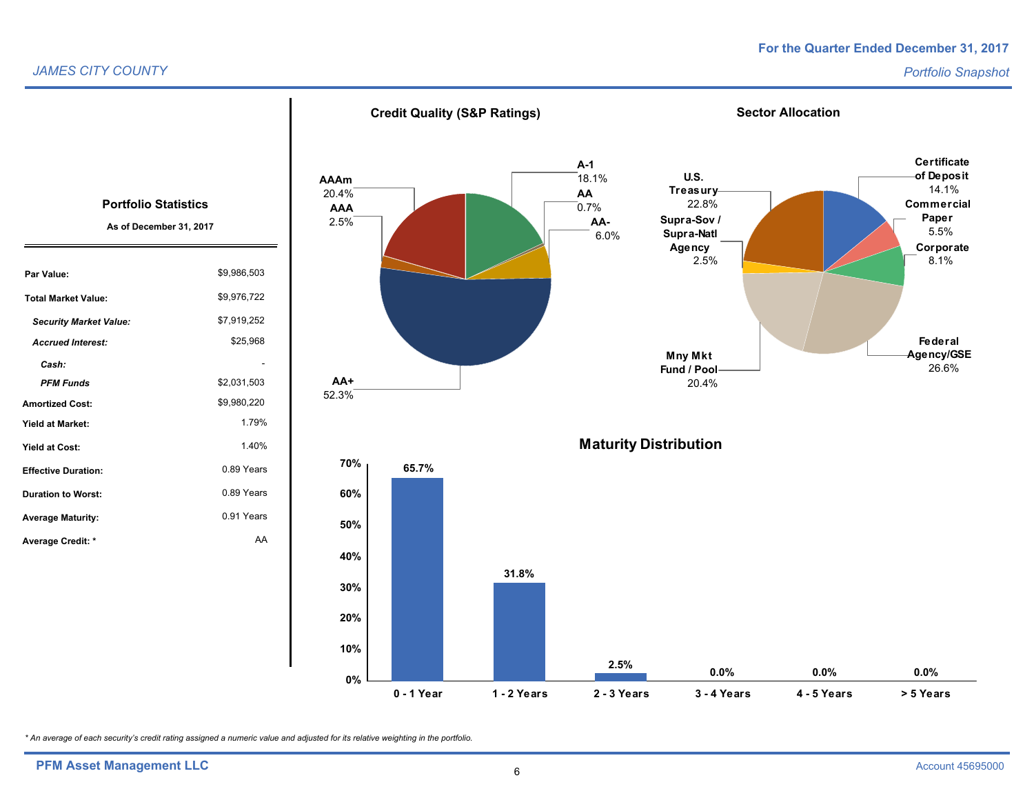## **For the Quarter Ended December 31, 2017**

#### *JAMES CITY COUNTY*



*\* An average of each security's credit rating assigned a numeric value and adjusted for its relative weighting in the portfolio.*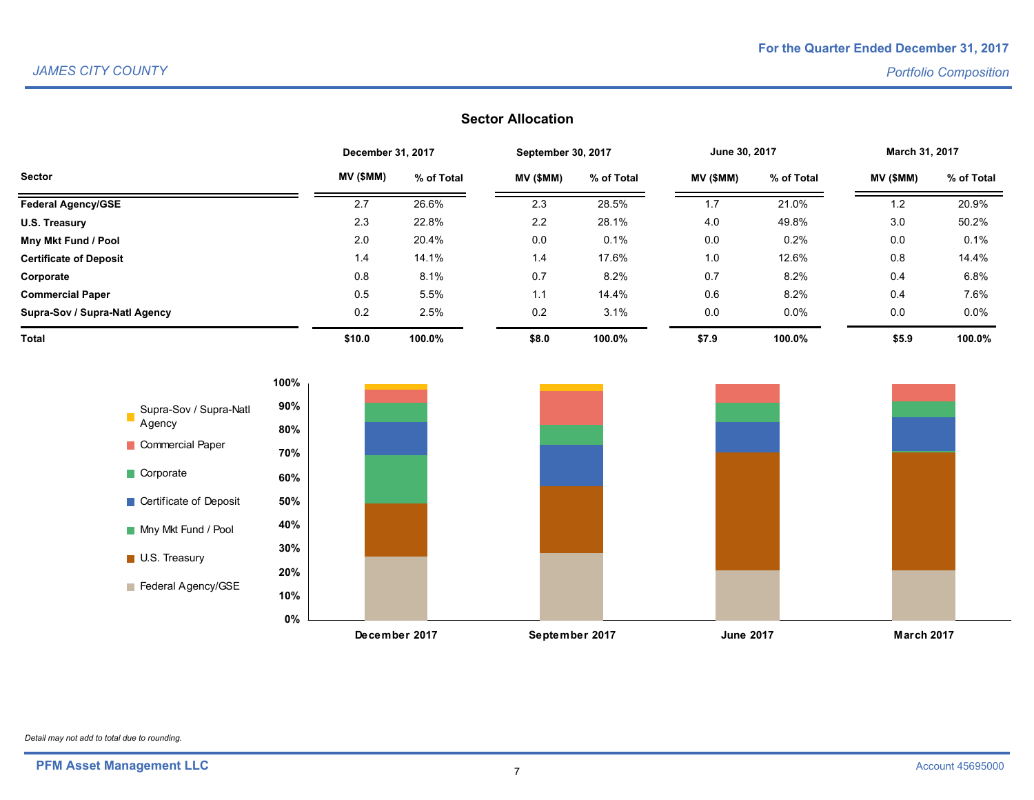# **Sector Allocation**

|                               | December 31, 2017 |            | September 30, 2017 |            | June 30, 2017 |            | March 31, 2017 |            |
|-------------------------------|-------------------|------------|--------------------|------------|---------------|------------|----------------|------------|
| <b>Sector</b>                 | MV (\$MM)         | % of Total | MV (\$MM)          | % of Total | MV (\$MM)     | % of Total | MV (\$MM)      | % of Total |
| <b>Federal Agency/GSE</b>     | 2.7               | 26.6%      | 2.3                | 28.5%      | 1.7           | 21.0%      | 1.2            | 20.9%      |
| U.S. Treasury                 | 2.3               | 22.8%      | 2.2                | 28.1%      | 4.0           | 49.8%      | 3.0            | 50.2%      |
| Mny Mkt Fund / Pool           | 2.0               | 20.4%      | 0.0                | 0.1%       | 0.0           | 0.2%       | 0.0            | 0.1%       |
| <b>Certificate of Deposit</b> | 1.4               | 14.1%      | 1.4                | 17.6%      | 1.0           | 12.6%      | 0.8            | 14.4%      |
| Corporate                     | 0.8               | 8.1%       | 0.7                | 8.2%       | 0.7           | 8.2%       | 0.4            | 6.8%       |
| <b>Commercial Paper</b>       | 0.5               | 5.5%       | 1.1                | 14.4%      | 0.6           | 8.2%       | 0.4            | 7.6%       |
| Supra-Sov / Supra-Natl Agency | 0.2               | 2.5%       | 0.2                | 3.1%       | 0.0           | $0.0\%$    | 0.0            | 0.0%       |
| Total                         | \$10.0            | 100.0%     | \$8.0              | 100.0%     | \$7.9         | 100.0%     | \$5.9          | 100.0%     |



*Detail may not add to total due to rounding.*